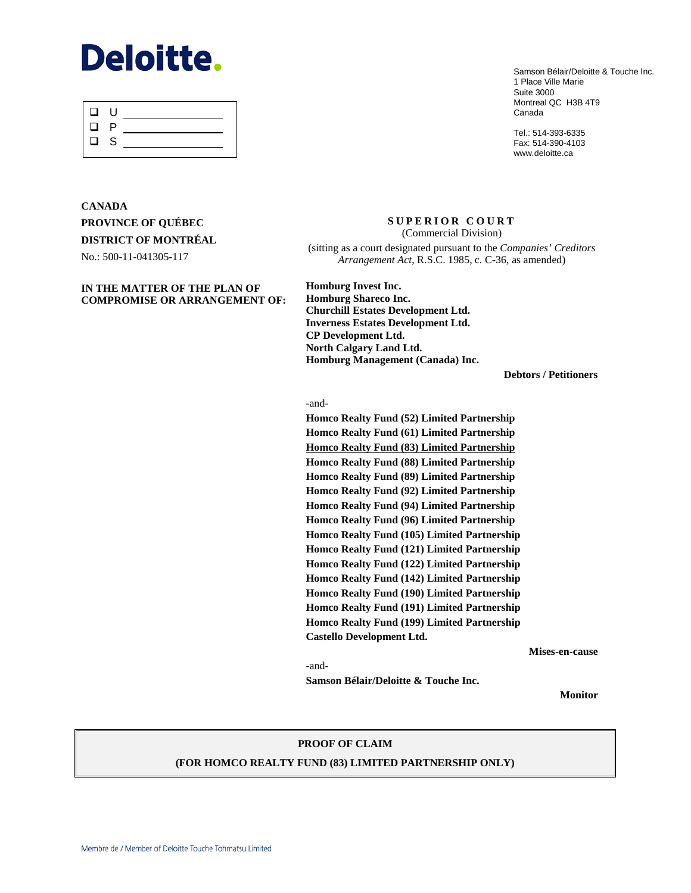# **Deloitte.**

| ⊔        | -U |  |
|----------|----|--|
| ப        | P  |  |
| $\Box$ S |    |  |
|          |    |  |

Samson Bélair/Deloitte & Touche Inc. 1 Place Ville Marie Suite 3000 Montreal QC H3B 4T9 Canada

Tel.: 514-393-6335 Fax: 514-390-4103 www.deloitte.ca

# **CANADA PROVINCE OF QUÉBEC DISTRICT OF MONTRÉAL** No.: 500-11-041305-117

#### **IN THE MATTER OF THE PLAN OF COMPROMISE OR ARRANGEMENT OF:**

**SUPERIOR COURT**  (Commercial Division) (sitting as a court designated pursuant to the *Companies' Creditors Arrangement Act*, R.S.C. 1985, c. C-36, as amended)

**Homburg Invest Inc. Homburg Shareco Inc. Churchill Estates Development Ltd. Inverness Estates Development Ltd. CP Development Ltd. North Calgary Land Ltd. Homburg Management (Canada) Inc.**

**Debtors / Petitioners**

-and-

**Homco Realty Fund (52) Limited Partnership Homco Realty Fund (61) Limited Partnership Homco Realty Fund (83) Limited Partnership Homco Realty Fund (88) Limited Partnership Homco Realty Fund (89) Limited Partnership Homco Realty Fund (92) Limited Partnership Homco Realty Fund (94) Limited Partnership Homco Realty Fund (96) Limited Partnership Homco Realty Fund (105) Limited Partnership Homco Realty Fund (121) Limited Partnership Homco Realty Fund (122) Limited Partnership Homco Realty Fund (142) Limited Partnership Homco Realty Fund (190) Limited Partnership Homco Realty Fund (191) Limited Partnership Homco Realty Fund (199) Limited Partnership Castello Development Ltd.**

**Samson Bélair/Deloitte & Touche Inc.** 

**Mises-en-cause**

-and-

**Monitor**

#### **PROOF OF CLAIM**

### **(FOR HOMCO REALTY FUND (83) LIMITED PARTNERSHIP ONLY)**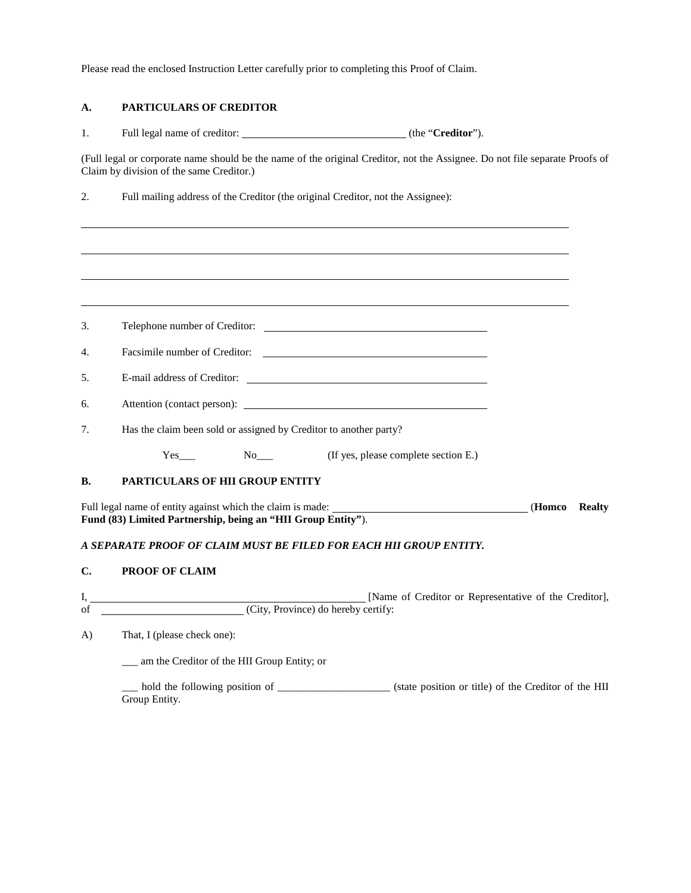Please read the enclosed Instruction Letter carefully prior to completing this Proof of Claim.

# **A. PARTICULARS OF CREDITOR**

1. Full legal name of creditor: (the "**Creditor**").

(Full legal or corporate name should be the name of the original Creditor, not the Assignee. Do not file separate Proofs of Claim by division of the same Creditor.)

2. Full mailing address of the Creditor (the original Creditor, not the Assignee):

| 3.             |                                                                                                                                   |  |               |  |  |  |
|----------------|-----------------------------------------------------------------------------------------------------------------------------------|--|---------------|--|--|--|
| 4.             |                                                                                                                                   |  |               |  |  |  |
| 5.             |                                                                                                                                   |  |               |  |  |  |
| 6.             |                                                                                                                                   |  |               |  |  |  |
| 7.             | Has the claim been sold or assigned by Creditor to another party?                                                                 |  |               |  |  |  |
|                | Yes____ No____ (If yes, please complete section E.)                                                                               |  |               |  |  |  |
| <b>B.</b>      | <b>PARTICULARS OF HII GROUP ENTITY</b>                                                                                            |  |               |  |  |  |
|                | Full legal name of entity against which the claim is made: (Homeo<br>Fund (83) Limited Partnership, being an "HII Group Entity"). |  | <b>Realty</b> |  |  |  |
|                | A SEPARATE PROOF OF CLAIM MUST BE FILED FOR EACH HII GROUP ENTITY.                                                                |  |               |  |  |  |
| $\mathbf{C}$ . | <b>PROOF OF CLAIM</b>                                                                                                             |  |               |  |  |  |
| I,<br>of       | [Name of Creditor or Representative of the Creditor],<br>(City, Province) do hereby certify:                                      |  |               |  |  |  |
|                |                                                                                                                                   |  |               |  |  |  |
| $\bf{A}$       | That, I (please check one):                                                                                                       |  |               |  |  |  |
|                | __ am the Creditor of the HII Group Entity; or                                                                                    |  |               |  |  |  |

\_\_\_ hold the following position of \_\_\_\_\_\_\_\_\_\_\_\_\_\_\_\_\_\_\_\_\_ (state position or title) of the Creditor of the HII Group Entity.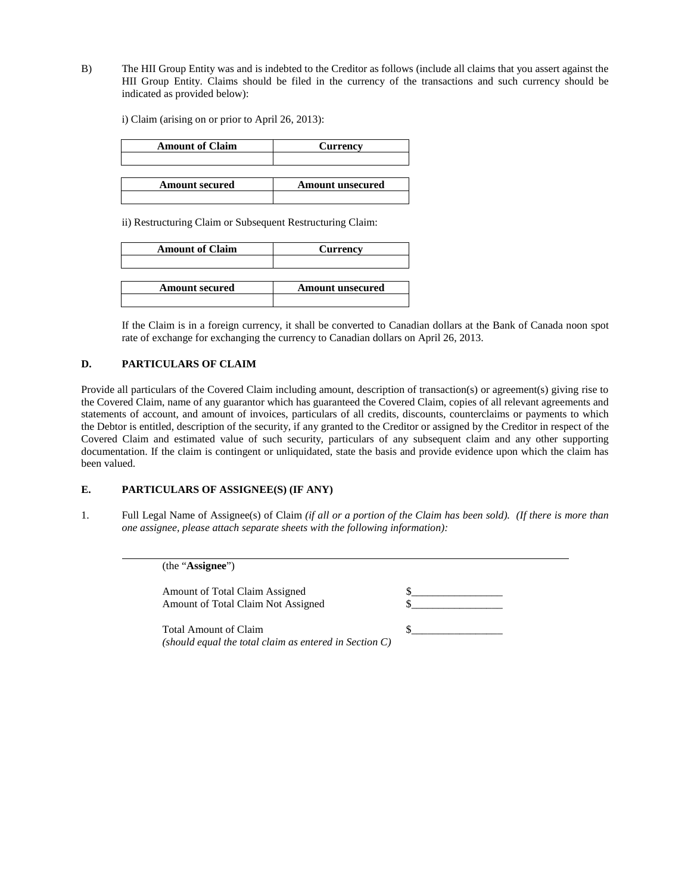B) The HII Group Entity was and is indebted to the Creditor as follows (include all claims that you assert against the HII Group Entity. Claims should be filed in the currency of the transactions and such currency should be indicated as provided below):

i) Claim (arising on or prior to April 26, 2013):

| <b>Amount of Claim</b> | <b>Currency</b>         |
|------------------------|-------------------------|
|                        |                         |
|                        |                         |
|                        |                         |
| <b>Amount secured</b>  | <b>Amount unsecured</b> |

ii) Restructuring Claim or Subsequent Restructuring Claim:

| <b>Amount of Claim</b> | <b>Currency</b>         |  |
|------------------------|-------------------------|--|
|                        |                         |  |
|                        |                         |  |
| <b>Amount secured</b>  | <b>Amount unsecured</b> |  |
|                        |                         |  |

If the Claim is in a foreign currency, it shall be converted to Canadian dollars at the Bank of Canada noon spot rate of exchange for exchanging the currency to Canadian dollars on April 26, 2013.

#### **D. PARTICULARS OF CLAIM**

Provide all particulars of the Covered Claim including amount, description of transaction(s) or agreement(s) giving rise to the Covered Claim, name of any guarantor which has guaranteed the Covered Claim, copies of all relevant agreements and statements of account, and amount of invoices, particulars of all credits, discounts, counterclaims or payments to which the Debtor is entitled, description of the security, if any granted to the Creditor or assigned by the Creditor in respect of the Covered Claim and estimated value of such security, particulars of any subsequent claim and any other supporting documentation. If the claim is contingent or unliquidated, state the basis and provide evidence upon which the claim has been valued.

#### **E. PARTICULARS OF ASSIGNEE(S) (IF ANY)**

1. Full Legal Name of Assignee(s) of Claim *(if all or a portion of the Claim has been sold). (If there is more than one assignee, please attach separate sheets with the following information):*

> (the "**Assignee**") Amount of Total Claim Assigned Amount of Total Claim Not Assigned Total Amount of Claim  $\$ *(should equal the total claim as entered in Section C)*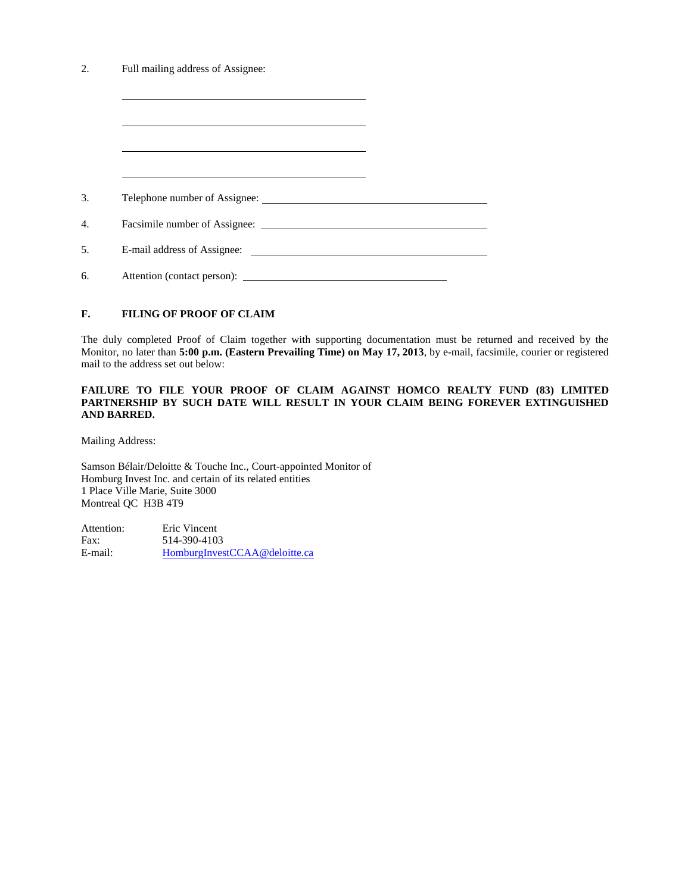| Full mailing address of Assignee: |                                                                                                                                                                                                                               |  |
|-----------------------------------|-------------------------------------------------------------------------------------------------------------------------------------------------------------------------------------------------------------------------------|--|
|                                   |                                                                                                                                                                                                                               |  |
|                                   |                                                                                                                                                                                                                               |  |
|                                   | the control of the control of the control of the control of the control of the control of the control of the control of the control of the control of the control of the control of the control of the control of the control |  |
|                                   |                                                                                                                                                                                                                               |  |
|                                   |                                                                                                                                                                                                                               |  |
|                                   |                                                                                                                                                                                                                               |  |
|                                   |                                                                                                                                                                                                                               |  |
|                                   |                                                                                                                                                                                                                               |  |
| Attention (contact person):       |                                                                                                                                                                                                                               |  |

## **F. FILING OF PROOF OF CLAIM**

The duly completed Proof of Claim together with supporting documentation must be returned and received by the Monitor, no later than **5:00 p.m. (Eastern Prevailing Time) on May 17, 2013**, by e-mail, facsimile, courier or registered mail to the address set out below:

#### **FAILURE TO FILE YOUR PROOF OF CLAIM AGAINST HOMCO REALTY FUND (83) LIMITED PARTNERSHIP BY SUCH DATE WILL RESULT IN YOUR CLAIM BEING FOREVER EXTINGUISHED AND BARRED.**

Mailing Address:

Samson Bélair/Deloitte & Touche Inc., Court-appointed Monitor of Homburg Invest Inc. and certain of its related entities 1 Place Ville Marie, Suite 3000 Montreal QC H3B 4T9

| Attention: | Eric Vincent                  |
|------------|-------------------------------|
| Fax:       | 514-390-4103                  |
| E-mail:    | HomburgInvestCCAA@deloitte.ca |